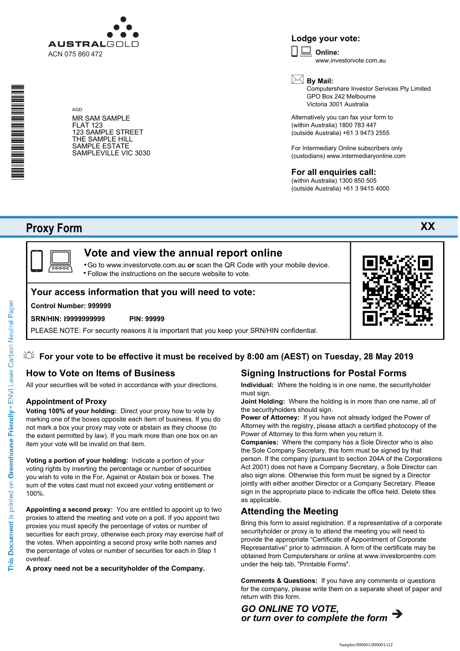

AGD

**Lodge your vote:**

**Online:** www.investorvote.com.au

\* S0000112<br>S0000112<br>S0000112

MR SAM SAMPLE FLAT 123 123 SAMPLE STREET THE SAMPLE HILL SAMPLE ESTATE SAMPLEVILLE VIC 3030

# **By Mail:**

Computershare Investor Services Pty Limited GPO Box 242 Melbourne Victoria 3001 Australia

Alternatively you can fax your form to (within Australia) 1800 783 447 (outside Australia) +61 3 9473 2555

For Intermediary Online subscribers only (custodians) www.intermediaryonline.com

### **For all enquiries call:**

(within Australia) 1300 850 505 (outside Australia) +61 3 9415 4000

# **Proxy Form**



# **Vote and view the annual report online**

Go to www.investorvote.com.au **or** scan the QR Code with your mobile device. Follow the instructions on the secure website to vote. •

## **Your access information that you will need to vote:**

### **Control Number: 999999**

#### **SRN/HIN: I9999999999 PIN: 99999**

PLEASE NOTE: For security reasons it is important that you keep your SRN/HIN confidential.



# **How to Vote on Items of Business**

All your securities will be voted in accordance with your directions.

### **Appointment of Proxy**

**Voting 100% of your holding:** Direct your proxy how to vote by marking one of the boxes opposite each item of business. If you do not mark a box your proxy may vote or abstain as they choose (to the extent permitted by law). If you mark more than one box on an item your vote will be invalid on that item.

**Voting a portion of your holding:** Indicate a portion of your voting rights by inserting the percentage or number of securities you wish to vote in the For, Against or Abstain box or boxes. The sum of the votes cast must not exceed your voting entitlement or 100%.

**Appointing a second proxy:** You are entitled to appoint up to two proxies to attend the meeting and vote on a poll. If you appoint two proxies you must specify the percentage of votes or number of securities for each proxy, otherwise each proxy may exercise half of the votes. When appointing a second proxy write both names and the percentage of votes or number of securities for each in Step 1 overleaf.

**A proxy need not be a securityholder of the Company.**

# **Signing Instructions for Postal Forms**

**Individual:** Where the holding is in one name, the securityholder must sign.

**Joint Holding:** Where the holding is in more than one name, all of the securityholders should sign.

**Power of Attorney:** If you have not already lodged the Power of Attorney with the registry, please attach a certified photocopy of the Power of Attorney to this form when you return it.

**Companies:** Where the company has a Sole Director who is also the Sole Company Secretary, this form must be signed by that person. If the company (pursuant to section 204A of the Corporations Act 2001) does not have a Company Secretary, a Sole Director can also sign alone. Otherwise this form must be signed by a Director jointly with either another Director or a Company Secretary. Please sign in the appropriate place to indicate the office held. Delete titles as applicable.

### **Attending the Meeting**

Bring this form to assist registration. If a representative of a corporate securityholder or proxy is to attend the meeting you will need to provide the appropriate "Certificate of Appointment of Corporate Representative" prior to admission. A form of the certificate may be obtained from Computershare or online at www.investorcentre.com under the help tab, "Printable Forms".

**Comments & Questions:** If you have any comments or questions for the company, please write them on a separate sheet of paper and return with this form.

*GO ONLINE TO VOTE, or turn over to complete the form*



This Document is printed on Greenhouse Friendly<sup>n</sup> ENVI Laser Carbon Neutral Paper

**XX**